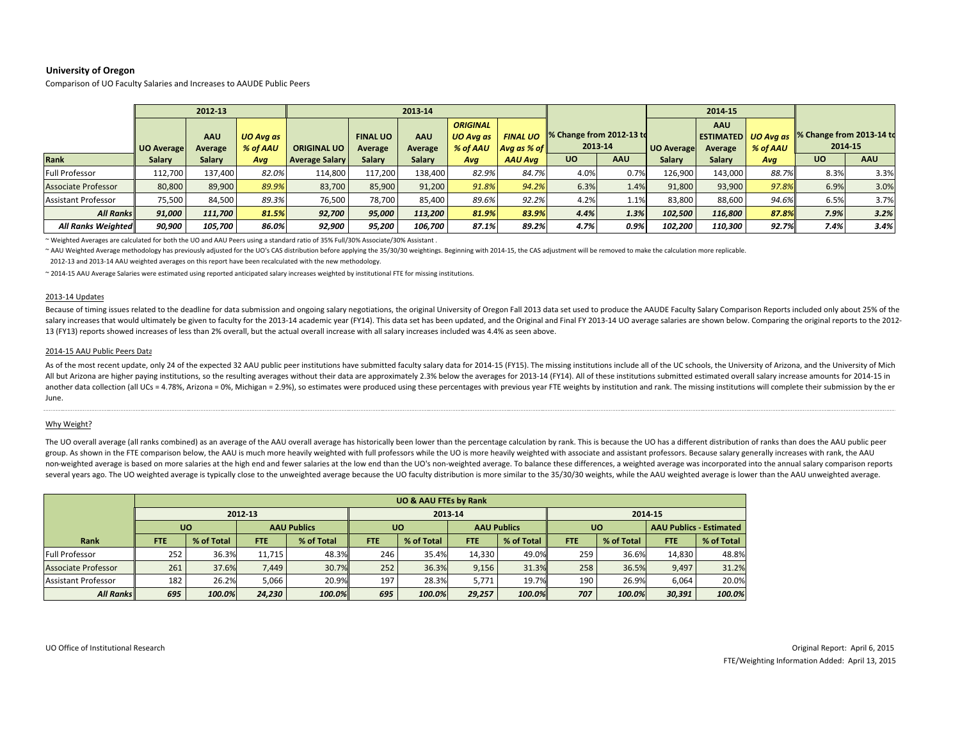# **University of Oregon**

Comparison of UO Faculty Salaries and Increases to AAUDE Public Peers

|                            | 2012-13    |                |                              |                       | 2013-14                    |                |                                          |                                               |                                     |            | 2014-15           |                                                                                          |       |           |      |
|----------------------------|------------|----------------|------------------------------|-----------------------|----------------------------|----------------|------------------------------------------|-----------------------------------------------|-------------------------------------|------------|-------------------|------------------------------------------------------------------------------------------|-------|-----------|------|
|                            | UO Average | AAU<br>Average | <b>UO Ava as</b><br>% of AAU | <b>ORIGINAL UO</b>    | <b>FINAL UO</b><br>Average | AAU<br>Average | <b>ORIGINAL</b><br>UO Ava as<br>% of AAU | <b>FINAL UO</b><br>$A$ vg as % of $\parallel$ | % Change from 2012-13 to<br>2013-14 |            | <b>UO Average</b> | <b>AAU</b><br><b>ESTIMATED</b> UO Avg as % Change from 2013-14 to<br>% of AAU<br>Average |       | 2014-15   |      |
| <b>Rank</b>                | Salary     | Salary         | Avg                          | <b>Average Salary</b> | Salary                     | Salary         | Ava                                      | <b>AAU Ava</b>                                | <b>UO</b>                           | <b>AAU</b> | <b>Salary</b>     | Salary                                                                                   | Avg   | <b>UO</b> | AAU  |
| Full Professor             | 112,700    | 137.400        | 82.0%                        | 114,800               | 117,200                    | 138,400        | 82.9%                                    | 84.7%                                         | 4.0%                                | 0.7%       | 126,900           | 143,000                                                                                  | 88.7% | 8.3%      | 3.3% |
| <b>Associate Professor</b> | 80,800     | 89,900         | 89.9%                        | 83,700                | 85,900                     | 91,200         | 91.8%                                    | 94.2%                                         | 6.3%                                | 1.4%       | 91,800            | 93,900                                                                                   | 97.8% | 6.9%      | 3.0% |
| Assistant Professor        | 75,500     | 84,500         | 89.3%                        | 76,500                | 78.700                     | 85,400         | 89.6%                                    | 92.2%                                         | 4.2%                                | 1.1%       | 83,800            | 88,600                                                                                   | 94.6% | 6.5%      | 3.7% |
| <b>All Ranks</b>           | 91,000     | 111,700        | 81.5%                        | 92,700                | 95.000                     | 113,200        | 81.9%                                    | 83.9%                                         | 4.4%                                | 1.3%       | 102,500           | 116,800                                                                                  | 87.8% | 7.9%      | 3.2% |
| All Ranks Weighted         | 90,900     | 105,700        | 86.0%                        | 92,900                | 95,200                     | 106,700        | 87.1%                                    | 89.2%                                         | 4.7%                                | 0.9%       | 102,200           | 110,300                                                                                  | 92.7% | 7.4%      | 3.4% |

~ Weighted Averages are calculated for both the UO and AAU Peers using <sup>a</sup> standard ratio of 35% Full/30% Associate/30% Assistant .

~ AAU Weighted Average methodology has previously adjusted for the UO's CAS distribution before applying the 35/30/30 weightings. Beginning with 2014-15, the CAS adjustment will be removed to make the calculation more repl

2012‐13 and 2013‐14 AAU weighted averages on this report have been recalculated with the new methodology.

~ 2014‐15 AAU Average Salaries were estimated using reported anticipated salary increases weighted by institutional FTE for missing institutions.

## 2013‐14 Updates

Because of timing issues related to the deadline for data submission and ongoing salary negotiations, the original University of Oregon Fall 2013 data set used to produce the AAUDE Faculty Salary Comparison Reports include salary increases that would ultimately be given to faculty for the 2013-14 academic year (FY14). This data set has been updated, and the Original and Final FY 2013-14 UO average salaries are shown below. Comparing the orig 13 (FY13) reports showed increases of less than 2% overall, but the actual overall increase with all salary increases included was 4.4% as seen above.

#### 2014‐15 AAU Public Peers Data

As of the most recent update, only 24 of the expected 32 AAU public peer institutions have submitted faculty salary data for 2014-15 (FY15). The missing institutions include all of the UC schools, the University of Arizona All but Arizona are higher paying institutions, so the resulting averages without their data are approximately 2.3% below the averages for 2013-14 (FY14). All of these institutions submitted estimated overall salary increa another data collection (all UCs = 4.78%, Arizona = 0%, Michigan = 2.9%), so estimates were produced using these percentages with previous year FTE weights by institution and rank. The missing institutions will complete th June.

## Why Weight?

The UO overall average (all ranks combined) as an average of the AAU overall average has historically been lower than the percentage calculation by rank. This is because the UO has a different distribution of ranks than do group. As shown in the FTE comparison below, the AAU is much more heavily weighted with full professors while the UQ is more heavily weighted with associate and assistant professors. Because salary generally increases with non-weighted average is based on more salaries at the high end and fewer salaries at the low end than the UO's non-weighted average. To balance these differences, a weighted average was incorporated into the annual salary several years ago. The UO weighted average is typically close to the unweighted average because the UO faculty distribution is more similar to the 35/30/30 weights, while the AAU weighted average is lower than the AAU unwe

| <b>UO &amp; AAU FTEs by Rank</b> |            |            |                    |            |            |            |                    |            |           |            |                                |            |
|----------------------------------|------------|------------|--------------------|------------|------------|------------|--------------------|------------|-----------|------------|--------------------------------|------------|
|                                  | 2012-13    |            |                    |            | 2013-14    |            |                    |            | 2014-15   |            |                                |            |
|                                  | <b>UO</b>  |            | <b>AAU Publics</b> |            | <b>UO</b>  |            | <b>AAU Publics</b> |            | <b>UO</b> |            | <b>AAU Publics - Estimated</b> |            |
| Rank                             | <b>FTE</b> | % of Total | <b>FTE</b>         | % of Total | <b>FTE</b> | % of Total | <b>FTE</b>         | % of Total | FTE.      | % of Total | <b>FTE</b>                     | % of Total |
| <b>Full Professor</b>            | 252        | 36.3%      | 11.715             | 48.3%      | 246        | 35.4%      | 14.330             | 49.0%      | 259       | 36.6%      | 14.830                         | 48.8%      |
| <b>Associate Professor</b>       | 261        | 37.6%      | 7,449              | 30.7%      | 252        | 36.3%      | 9,156              | 31.3%      | 258       | 36.5%      | 9,497                          | 31.2%      |
| <b>Assistant Professor</b>       | 182        | 26.2%      | 5,066              | 20.9%      | 197        | 28.3%      | 5.771              | 19.7%      | 190       | 26.9%      | 6,064                          | 20.0%      |
| <b>All Ranks</b>                 | 695        | 100.0%     | 24,230             | 100.0%     | 695        | 100.0%     | 29,257             | 100.0%     | 707       | 100.0%     | 30,391                         | 100.0%     |